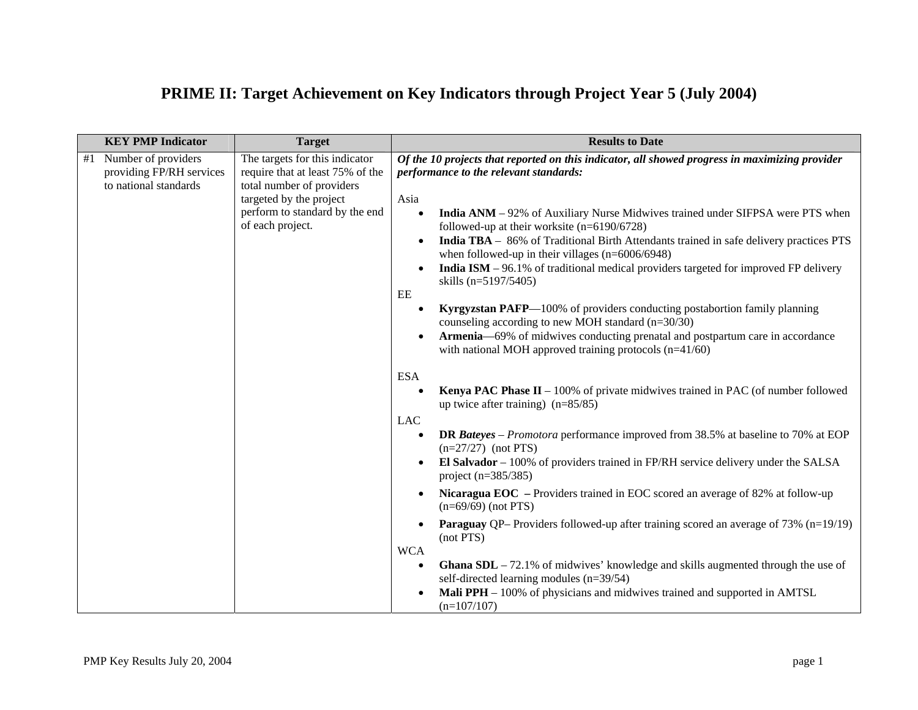## **PRIME II: Target Achievement on Key Indicators through Project Year 5 (July 2004)**

| <b>KEY PMP Indicator</b>                                                       | <b>Target</b>                                                                                                                                                                    | <b>Results to Date</b>                                                                                                                                                                                                                                                                                                                                                                                                                                                                                                                                                                                                                                                                                                   |  |
|--------------------------------------------------------------------------------|----------------------------------------------------------------------------------------------------------------------------------------------------------------------------------|--------------------------------------------------------------------------------------------------------------------------------------------------------------------------------------------------------------------------------------------------------------------------------------------------------------------------------------------------------------------------------------------------------------------------------------------------------------------------------------------------------------------------------------------------------------------------------------------------------------------------------------------------------------------------------------------------------------------------|--|
| Number of providers<br>#1<br>providing FP/RH services<br>to national standards | The targets for this indicator<br>require that at least 75% of the<br>total number of providers<br>targeted by the project<br>perform to standard by the end<br>of each project. | Of the 10 projects that reported on this indicator, all showed progress in maximizing provider<br>performance to the relevant standards:<br>Asia<br>India ANM - 92% of Auxiliary Nurse Midwives trained under SIFPSA were PTS when<br>$\bullet$<br>followed-up at their worksite $(n=6190/6728)$<br>India TBA - 86% of Traditional Birth Attendants trained in safe delivery practices PTS<br>when followed-up in their villages $(n=6006/6948)$<br>India ISM - 96.1% of traditional medical providers targeted for improved FP delivery<br>skills (n=5197/5405)<br>EE<br>Kyrgyzstan PAFP—100% of providers conducting postabortion family planning<br>$\bullet$<br>counseling according to new MOH standard $(n=30/30)$ |  |
|                                                                                |                                                                                                                                                                                  | Armenia—69% of midwives conducting prenatal and postpartum care in accordance<br>with national MOH approved training protocols $(n=41/60)$                                                                                                                                                                                                                                                                                                                                                                                                                                                                                                                                                                               |  |
|                                                                                |                                                                                                                                                                                  | <b>ESA</b><br><b>Kenya PAC Phase II</b> $-100\%$ of private midwives trained in PAC (of number followed<br>up twice after training) $(n=85/85)$<br><b>LAC</b>                                                                                                                                                                                                                                                                                                                                                                                                                                                                                                                                                            |  |
|                                                                                |                                                                                                                                                                                  | <b>DR</b> Bateyes – Promotora performance improved from 38.5% at baseline to 70% at EOP<br>$(n=27/27)$ (not PTS)<br>El Salvador $-100\%$ of providers trained in FP/RH service delivery under the SALSA<br>$\bullet$<br>project $(n=385/385)$                                                                                                                                                                                                                                                                                                                                                                                                                                                                            |  |
|                                                                                |                                                                                                                                                                                  | Nicaragua EOC - Providers trained in EOC scored an average of 82% at follow-up<br>$(n=69/69)$ (not PTS)                                                                                                                                                                                                                                                                                                                                                                                                                                                                                                                                                                                                                  |  |
|                                                                                |                                                                                                                                                                                  | <b>Paraguay</b> QP– Providers followed-up after training scored an average of 73% (n=19/19)<br>$\bullet$<br>(not PTS)<br><b>WCA</b>                                                                                                                                                                                                                                                                                                                                                                                                                                                                                                                                                                                      |  |
|                                                                                |                                                                                                                                                                                  | <b>Ghana SDL</b> $-72.1\%$ of midwives' knowledge and skills augmented through the use of<br>self-directed learning modules (n=39/54)<br>Mali PPH – 100% of physicians and midwives trained and supported in AMTSL<br>$(n=107/107)$                                                                                                                                                                                                                                                                                                                                                                                                                                                                                      |  |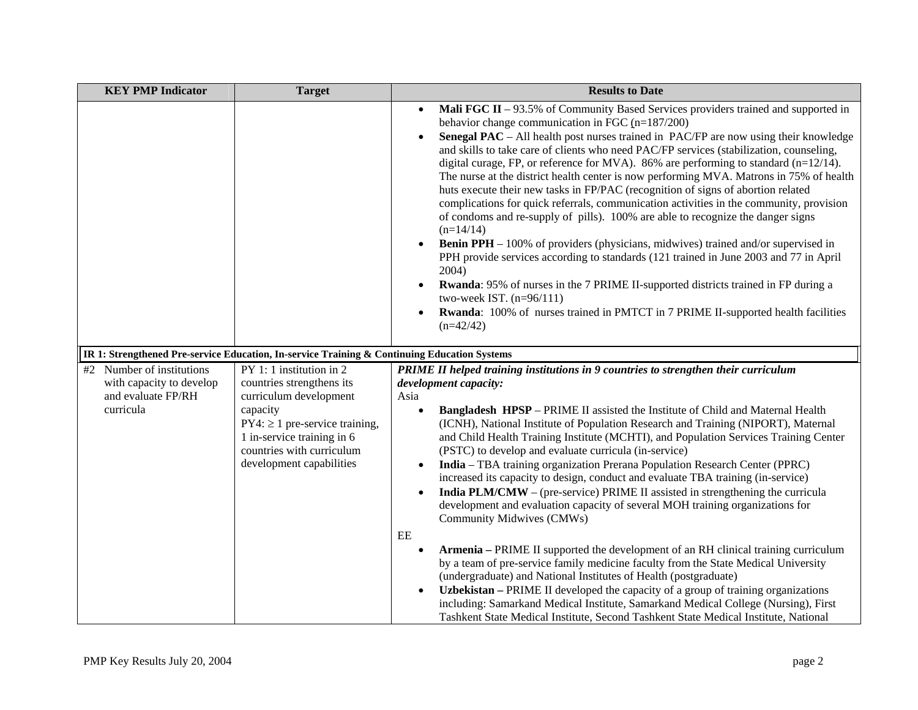| <b>KEY PMP Indicator</b>                                    | <b>Target</b>                                                                                                                                                                                 | <b>Results to Date</b>                                                                                                                                                                                                                                                                                                                                                                                                                                                                                                                                                                                                                                                                                                                                                                                                                                                                                                                                                                                                                                                                                                                                                                                                                                                                            |  |  |
|-------------------------------------------------------------|-----------------------------------------------------------------------------------------------------------------------------------------------------------------------------------------------|---------------------------------------------------------------------------------------------------------------------------------------------------------------------------------------------------------------------------------------------------------------------------------------------------------------------------------------------------------------------------------------------------------------------------------------------------------------------------------------------------------------------------------------------------------------------------------------------------------------------------------------------------------------------------------------------------------------------------------------------------------------------------------------------------------------------------------------------------------------------------------------------------------------------------------------------------------------------------------------------------------------------------------------------------------------------------------------------------------------------------------------------------------------------------------------------------------------------------------------------------------------------------------------------------|--|--|
|                                                             |                                                                                                                                                                                               | Mali FGC II - 93.5% of Community Based Services providers trained and supported in<br>$\bullet$<br>behavior change communication in FGC $(n=187/200)$<br><b>Senegal PAC</b> – All health post nurses trained in PAC/FP are now using their knowledge<br>$\bullet$<br>and skills to take care of clients who need PAC/FP services (stabilization, counseling,<br>digital curage, FP, or reference for MVA). 86% are performing to standard $(n=12/14)$ .<br>The nurse at the district health center is now performing MVA. Matrons in 75% of health<br>huts execute their new tasks in FP/PAC (recognition of signs of abortion related<br>complications for quick referrals, communication activities in the community, provision<br>of condoms and re-supply of pills). 100% are able to recognize the danger signs<br>$(n=14/14)$<br><b>Benin PPH</b> – 100% of providers (physicians, midwives) trained and/or supervised in<br>$\bullet$<br>PPH provide services according to standards (121 trained in June 2003 and 77 in April<br>2004)<br><b>Rwanda:</b> 95% of nurses in the 7 PRIME II-supported districts trained in FP during a<br>$\bullet$<br>two-week IST. $(n=96/111)$<br><b>Rwanda:</b> 100% of nurses trained in PMTCT in 7 PRIME II-supported health facilities<br>$(n=42/42)$ |  |  |
|                                                             | IR 1: Strengthened Pre-service Education, In-service Training & Continuing Education Systems                                                                                                  |                                                                                                                                                                                                                                                                                                                                                                                                                                                                                                                                                                                                                                                                                                                                                                                                                                                                                                                                                                                                                                                                                                                                                                                                                                                                                                   |  |  |
| #2 Number of institutions                                   | PY 1: 1 institution in 2                                                                                                                                                                      | PRIME II helped training institutions in 9 countries to strengthen their curriculum                                                                                                                                                                                                                                                                                                                                                                                                                                                                                                                                                                                                                                                                                                                                                                                                                                                                                                                                                                                                                                                                                                                                                                                                               |  |  |
| with capacity to develop<br>and evaluate FP/RH<br>curricula | countries strengthens its<br>curriculum development<br>capacity<br>$PY4: \geq 1$ pre-service training,<br>1 in-service training in 6<br>countries with curriculum<br>development capabilities | development capacity:<br>Asia<br><b>Bangladesh HPSP</b> – PRIME II assisted the Institute of Child and Maternal Health<br>$\bullet$<br>(ICNH), National Institute of Population Research and Training (NIPORT), Maternal<br>and Child Health Training Institute (MCHTI), and Population Services Training Center<br>(PSTC) to develop and evaluate curricula (in-service)<br>India - TBA training organization Prerana Population Research Center (PPRC)<br>$\bullet$<br>increased its capacity to design, conduct and evaluate TBA training (in-service)<br><b>India PLM/CMW</b> – (pre-service) PRIME II assisted in strengthening the curricula<br>$\bullet$<br>development and evaluation capacity of several MOH training organizations for<br>Community Midwives (CMWs)<br>$\rm{EE}$                                                                                                                                                                                                                                                                                                                                                                                                                                                                                                        |  |  |
|                                                             |                                                                                                                                                                                               | <b>Armenia</b> – PRIME II supported the development of an RH clinical training curriculum<br>$\bullet$<br>by a team of pre-service family medicine faculty from the State Medical University<br>(undergraduate) and National Institutes of Health (postgraduate)<br>Uzbekistan – PRIME II developed the capacity of a group of training organizations<br>$\bullet$<br>including: Samarkand Medical Institute, Samarkand Medical College (Nursing), First<br>Tashkent State Medical Institute, Second Tashkent State Medical Institute, National                                                                                                                                                                                                                                                                                                                                                                                                                                                                                                                                                                                                                                                                                                                                                   |  |  |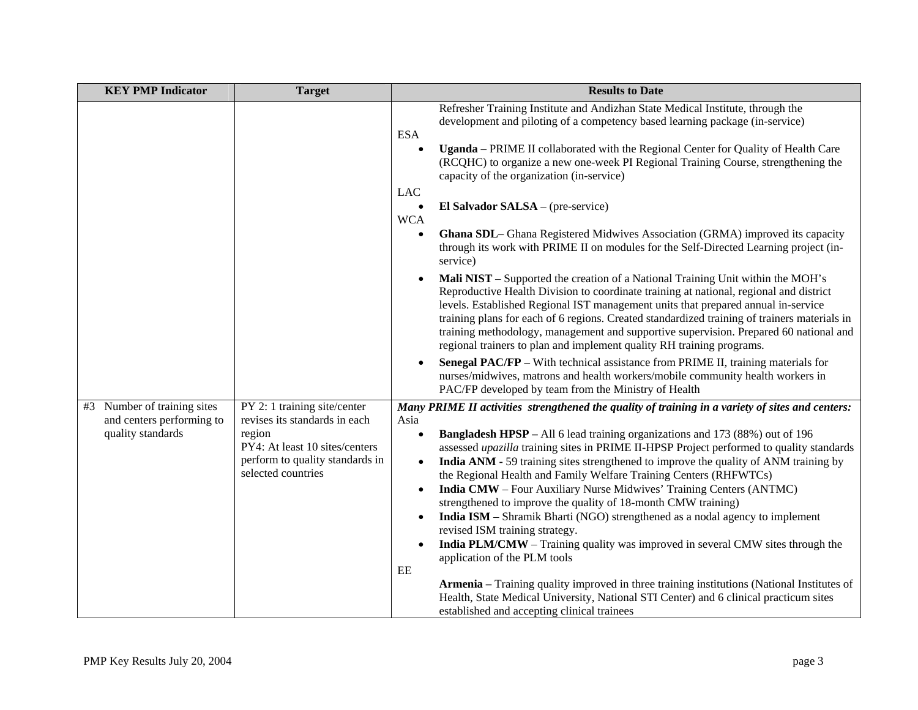| <b>KEY PMP Indicator</b>                                 | <b>Target</b>                                                 | <b>Results to Date</b>                                                                                                                                                                                                                                                                                                                                                                                                                                                                                                                        |  |
|----------------------------------------------------------|---------------------------------------------------------------|-----------------------------------------------------------------------------------------------------------------------------------------------------------------------------------------------------------------------------------------------------------------------------------------------------------------------------------------------------------------------------------------------------------------------------------------------------------------------------------------------------------------------------------------------|--|
|                                                          |                                                               | Refresher Training Institute and Andizhan State Medical Institute, through the<br>development and piloting of a competency based learning package (in-service)<br><b>ESA</b><br>Uganda - PRIME II collaborated with the Regional Center for Quality of Health Care                                                                                                                                                                                                                                                                            |  |
|                                                          |                                                               | (RCQHC) to organize a new one-week PI Regional Training Course, strengthening the<br>capacity of the organization (in-service)                                                                                                                                                                                                                                                                                                                                                                                                                |  |
|                                                          |                                                               | LAC                                                                                                                                                                                                                                                                                                                                                                                                                                                                                                                                           |  |
|                                                          |                                                               | El Salvador SALSA – (pre-service)<br>$\bullet$<br><b>WCA</b>                                                                                                                                                                                                                                                                                                                                                                                                                                                                                  |  |
|                                                          |                                                               | Ghana SDL- Ghana Registered Midwives Association (GRMA) improved its capacity<br>$\bullet$<br>through its work with PRIME II on modules for the Self-Directed Learning project (in-<br>service)                                                                                                                                                                                                                                                                                                                                               |  |
|                                                          |                                                               | Mali NIST - Supported the creation of a National Training Unit within the MOH's<br>$\bullet$<br>Reproductive Health Division to coordinate training at national, regional and district<br>levels. Established Regional IST management units that prepared annual in-service<br>training plans for each of 6 regions. Created standardized training of trainers materials in<br>training methodology, management and supportive supervision. Prepared 60 national and<br>regional trainers to plan and implement quality RH training programs. |  |
|                                                          |                                                               | <b>Senegal PAC/FP</b> – With technical assistance from PRIME II, training materials for<br>$\bullet$<br>nurses/midwives, matrons and health workers/mobile community health workers in<br>PAC/FP developed by team from the Ministry of Health                                                                                                                                                                                                                                                                                                |  |
| #3 Number of training sites<br>and centers performing to | PY 2: 1 training site/center<br>revises its standards in each | Many PRIME II activities strengthened the quality of training in a variety of sites and centers:<br>Asia                                                                                                                                                                                                                                                                                                                                                                                                                                      |  |
| quality standards                                        | region                                                        | Bangladesh HPSP - All 6 lead training organizations and 173 (88%) out of 196<br>$\bullet$                                                                                                                                                                                                                                                                                                                                                                                                                                                     |  |
|                                                          | PY4: At least 10 sites/centers                                | assessed upazilla training sites in PRIME II-HPSP Project performed to quality standards                                                                                                                                                                                                                                                                                                                                                                                                                                                      |  |
|                                                          | perform to quality standards in<br>selected countries         | India ANM - 59 training sites strengthened to improve the quality of ANM training by<br>$\bullet$<br>the Regional Health and Family Welfare Training Centers (RHFWTCs)                                                                                                                                                                                                                                                                                                                                                                        |  |
|                                                          |                                                               | India CMW - Four Auxiliary Nurse Midwives' Training Centers (ANTMC)<br>$\bullet$<br>strengthened to improve the quality of 18-month CMW training)                                                                                                                                                                                                                                                                                                                                                                                             |  |
|                                                          |                                                               | India ISM – Shramik Bharti (NGO) strengthened as a nodal agency to implement<br>$\bullet$                                                                                                                                                                                                                                                                                                                                                                                                                                                     |  |
|                                                          |                                                               | revised ISM training strategy.                                                                                                                                                                                                                                                                                                                                                                                                                                                                                                                |  |
|                                                          |                                                               | India PLM/CMW - Training quality was improved in several CMW sites through the<br>$\bullet$<br>application of the PLM tools                                                                                                                                                                                                                                                                                                                                                                                                                   |  |
|                                                          |                                                               | EE                                                                                                                                                                                                                                                                                                                                                                                                                                                                                                                                            |  |
|                                                          |                                                               | Armenia - Training quality improved in three training institutions (National Institutes of<br>Health, State Medical University, National STI Center) and 6 clinical practicum sites<br>established and accepting clinical trainees                                                                                                                                                                                                                                                                                                            |  |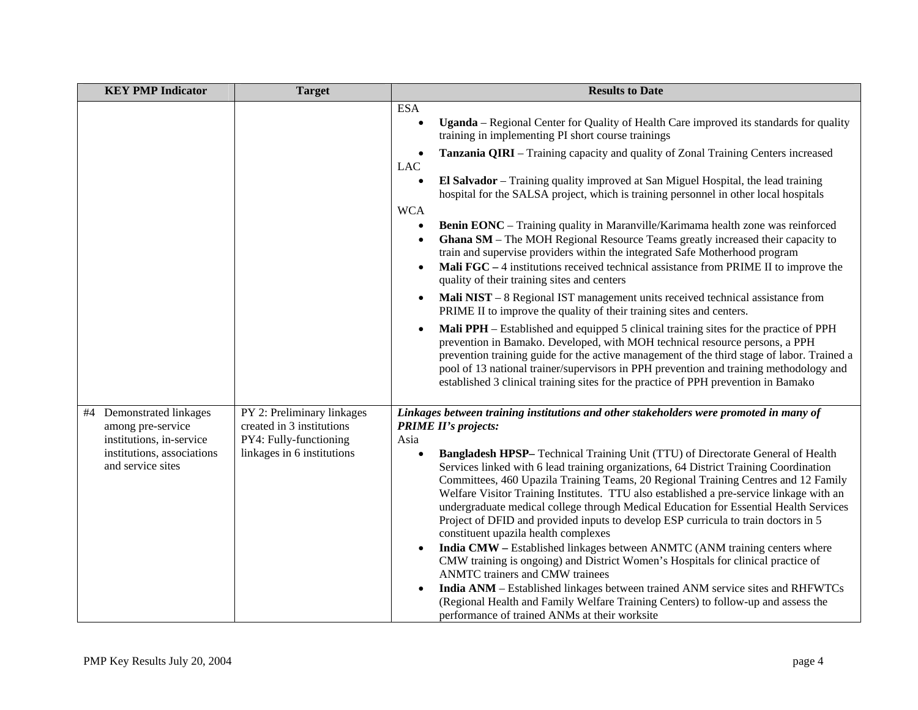| <b>KEY PMP Indicator</b>                                                    | <b>Target</b>                                           | <b>Results to Date</b>                                                                                                                                                                                                                                                                                                                                                                                                                                                                                                                                                                                                                                                                                                                                                                                                                                                                                                                                                                                                            |  |
|-----------------------------------------------------------------------------|---------------------------------------------------------|-----------------------------------------------------------------------------------------------------------------------------------------------------------------------------------------------------------------------------------------------------------------------------------------------------------------------------------------------------------------------------------------------------------------------------------------------------------------------------------------------------------------------------------------------------------------------------------------------------------------------------------------------------------------------------------------------------------------------------------------------------------------------------------------------------------------------------------------------------------------------------------------------------------------------------------------------------------------------------------------------------------------------------------|--|
|                                                                             |                                                         | <b>ESA</b><br><b>Uganda</b> – Regional Center for Quality of Health Care improved its standards for quality<br>training in implementing PI short course trainings                                                                                                                                                                                                                                                                                                                                                                                                                                                                                                                                                                                                                                                                                                                                                                                                                                                                 |  |
|                                                                             |                                                         | Tanzania QIRI - Training capacity and quality of Zonal Training Centers increased<br><b>LAC</b>                                                                                                                                                                                                                                                                                                                                                                                                                                                                                                                                                                                                                                                                                                                                                                                                                                                                                                                                   |  |
|                                                                             |                                                         | El Salvador - Training quality improved at San Miguel Hospital, the lead training<br>$\bullet$<br>hospital for the SALSA project, which is training personnel in other local hospitals                                                                                                                                                                                                                                                                                                                                                                                                                                                                                                                                                                                                                                                                                                                                                                                                                                            |  |
|                                                                             |                                                         | <b>WCA</b><br>Benin EONC - Training quality in Maranville/Karimama health zone was reinforced<br>$\bullet$<br>Ghana SM - The MOH Regional Resource Teams greatly increased their capacity to<br>$\bullet$<br>train and supervise providers within the integrated Safe Motherhood program<br>Mali FGC – 4 institutions received technical assistance from PRIME II to improve the<br>$\bullet$<br>quality of their training sites and centers                                                                                                                                                                                                                                                                                                                                                                                                                                                                                                                                                                                      |  |
|                                                                             |                                                         | Mali NIST – 8 Regional IST management units received technical assistance from<br>$\bullet$<br>PRIME II to improve the quality of their training sites and centers.                                                                                                                                                                                                                                                                                                                                                                                                                                                                                                                                                                                                                                                                                                                                                                                                                                                               |  |
|                                                                             |                                                         | <b>Mali PPH</b> – Established and equipped 5 clinical training sites for the practice of PPH<br>$\bullet$<br>prevention in Bamako. Developed, with MOH technical resource persons, a PPH<br>prevention training guide for the active management of the third stage of labor. Trained a<br>pool of 13 national trainer/supervisors in PPH prevention and training methodology and<br>established 3 clinical training sites for the practice of PPH prevention in Bamako                                                                                                                                                                                                                                                                                                                                                                                                                                                                                                                                                            |  |
| #4 Demonstrated linkages<br>among pre-service                               | PY 2: Preliminary linkages<br>created in 3 institutions | Linkages between training institutions and other stakeholders were promoted in many of<br><b>PRIME II's projects:</b>                                                                                                                                                                                                                                                                                                                                                                                                                                                                                                                                                                                                                                                                                                                                                                                                                                                                                                             |  |
| institutions, in-service<br>institutions, associations<br>and service sites | PY4: Fully-functioning<br>linkages in 6 institutions    | Asia<br>Bangladesh HPSP-Technical Training Unit (TTU) of Directorate General of Health<br>Services linked with 6 lead training organizations, 64 District Training Coordination<br>Committees, 460 Upazila Training Teams, 20 Regional Training Centres and 12 Family<br>Welfare Visitor Training Institutes. TTU also established a pre-service linkage with an<br>undergraduate medical college through Medical Education for Essential Health Services<br>Project of DFID and provided inputs to develop ESP curricula to train doctors in 5<br>constituent upazila health complexes<br>India CMW – Established linkages between ANMTC (ANM training centers where<br>CMW training is ongoing) and District Women's Hospitals for clinical practice of<br>ANMTC trainers and CMW trainees<br>India ANM - Established linkages between trained ANM service sites and RHFWTCs<br>$\bullet$<br>(Regional Health and Family Welfare Training Centers) to follow-up and assess the<br>performance of trained ANMs at their worksite |  |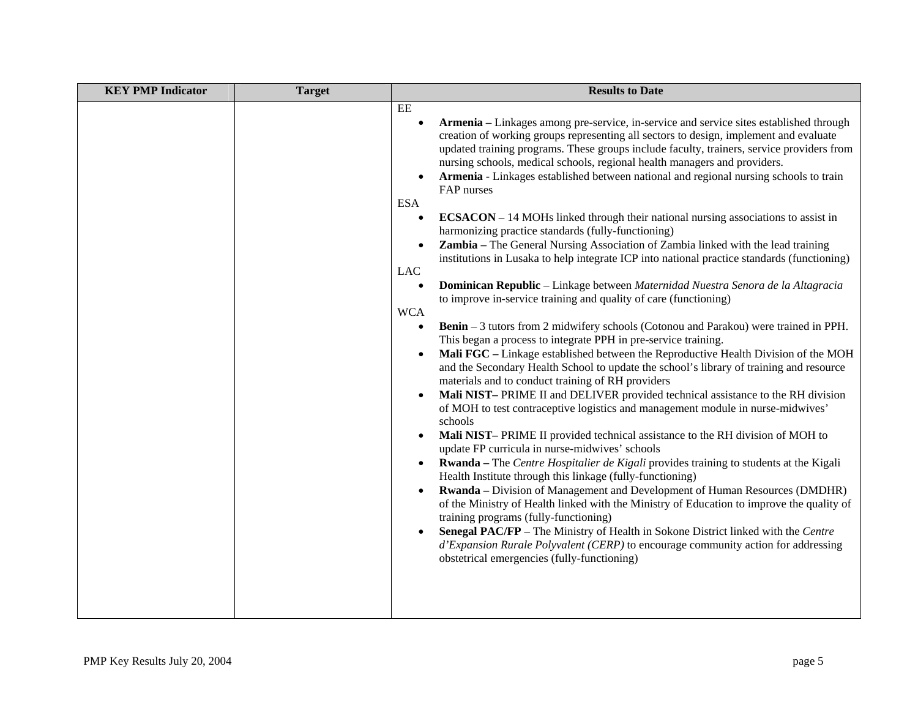| <b>KEY PMP Indicator</b> | <b>Target</b> | <b>Results to Date</b>                                                                                                                                                                                                                                                                                                                                                                                                                                                                                                                                                                                                                                                                                                                                                                                                                                                                                                                                                                                                                                                                                                                                                                                                                                                                                                                                                                                                                                                                                                                                                                                                                                                                                                                                                                                                                                                                                                                                                                                                                                                                                                                                                                                                                                                                                                                                                                                                                                                             |  |
|--------------------------|---------------|------------------------------------------------------------------------------------------------------------------------------------------------------------------------------------------------------------------------------------------------------------------------------------------------------------------------------------------------------------------------------------------------------------------------------------------------------------------------------------------------------------------------------------------------------------------------------------------------------------------------------------------------------------------------------------------------------------------------------------------------------------------------------------------------------------------------------------------------------------------------------------------------------------------------------------------------------------------------------------------------------------------------------------------------------------------------------------------------------------------------------------------------------------------------------------------------------------------------------------------------------------------------------------------------------------------------------------------------------------------------------------------------------------------------------------------------------------------------------------------------------------------------------------------------------------------------------------------------------------------------------------------------------------------------------------------------------------------------------------------------------------------------------------------------------------------------------------------------------------------------------------------------------------------------------------------------------------------------------------------------------------------------------------------------------------------------------------------------------------------------------------------------------------------------------------------------------------------------------------------------------------------------------------------------------------------------------------------------------------------------------------------------------------------------------------------------------------------------------------|--|
|                          |               | EE<br>Armenia – Linkages among pre-service, in-service and service sites established through<br>$\bullet$<br>creation of working groups representing all sectors to design, implement and evaluate<br>updated training programs. These groups include faculty, trainers, service providers from<br>nursing schools, medical schools, regional health managers and providers.<br>Armenia - Linkages established between national and regional nursing schools to train<br>$\bullet$<br>FAP nurses<br><b>ESA</b><br>ECSACON - 14 MOHs linked through their national nursing associations to assist in<br>$\bullet$<br>harmonizing practice standards (fully-functioning)<br>Zambia - The General Nursing Association of Zambia linked with the lead training<br>$\bullet$<br>institutions in Lusaka to help integrate ICP into national practice standards (functioning)<br><b>LAC</b><br>Dominican Republic - Linkage between Maternidad Nuestra Senora de la Altagracia<br>$\bullet$<br>to improve in-service training and quality of care (functioning)<br><b>WCA</b><br>Benin - 3 tutors from 2 midwifery schools (Cotonou and Parakou) were trained in PPH.<br>$\bullet$<br>This began a process to integrate PPH in pre-service training.<br>Mali FGC - Linkage established between the Reproductive Health Division of the MOH<br>$\bullet$<br>and the Secondary Health School to update the school's library of training and resource<br>materials and to conduct training of RH providers<br>Mali NIST-PRIME II and DELIVER provided technical assistance to the RH division<br>$\bullet$<br>of MOH to test contraceptive logistics and management module in nurse-midwives'<br>schools<br>Mali NIST-PRIME II provided technical assistance to the RH division of MOH to<br>$\bullet$<br>update FP curricula in nurse-midwives' schools<br>Rwanda - The Centre Hospitalier de Kigali provides training to students at the Kigali<br>$\bullet$<br>Health Institute through this linkage (fully-functioning)<br><b>Rwanda</b> – Division of Management and Development of Human Resources (DMDHR)<br>$\bullet$<br>of the Ministry of Health linked with the Ministry of Education to improve the quality of<br>training programs (fully-functioning)<br>Senegal PAC/FP - The Ministry of Health in Sokone District linked with the Centre<br>d'Expansion Rurale Polyvalent (CERP) to encourage community action for addressing<br>obstetrical emergencies (fully-functioning) |  |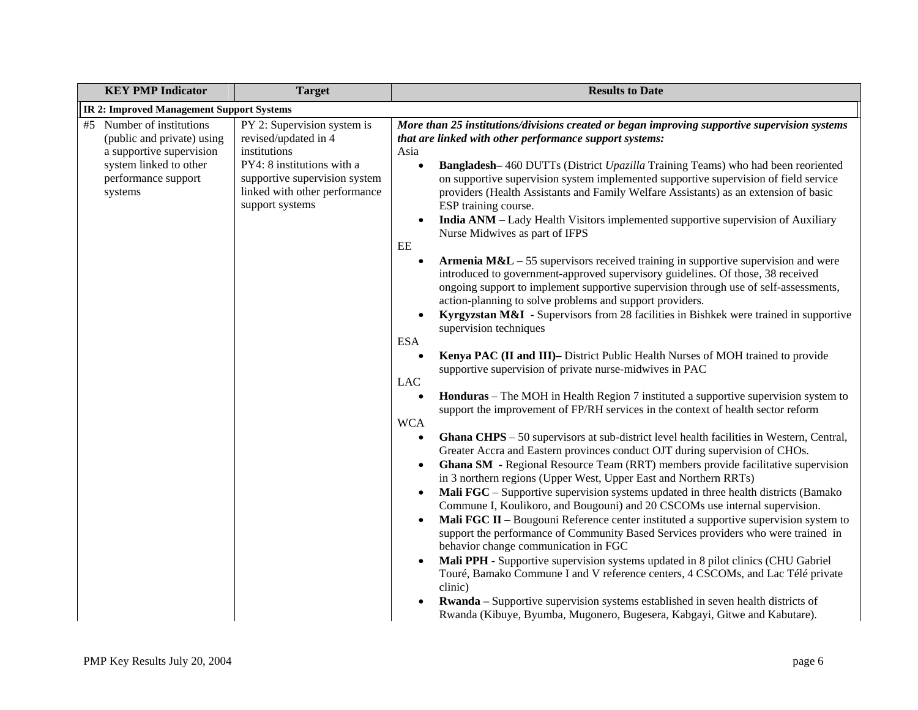| <b>KEY PMP Indicator</b>                                                                                                                        | <b>Target</b>                                                                                                                                                                          | <b>Results to Date</b>                                                                                                                                                                                                                                                                                                                                                                                                                                                                                                                                                                                                                                                                                                                                                                                                                                                                                                                                                                                                                                                                                                                                                                                                                                                                                                                                                                                                                                                                                                                                                                                                                                                                                                                                                                                                                                                                                                                                                                                                                                                                                                                                                                                                                                                                                                                                                                                                                                                                                                                                          |  |  |
|-------------------------------------------------------------------------------------------------------------------------------------------------|----------------------------------------------------------------------------------------------------------------------------------------------------------------------------------------|-----------------------------------------------------------------------------------------------------------------------------------------------------------------------------------------------------------------------------------------------------------------------------------------------------------------------------------------------------------------------------------------------------------------------------------------------------------------------------------------------------------------------------------------------------------------------------------------------------------------------------------------------------------------------------------------------------------------------------------------------------------------------------------------------------------------------------------------------------------------------------------------------------------------------------------------------------------------------------------------------------------------------------------------------------------------------------------------------------------------------------------------------------------------------------------------------------------------------------------------------------------------------------------------------------------------------------------------------------------------------------------------------------------------------------------------------------------------------------------------------------------------------------------------------------------------------------------------------------------------------------------------------------------------------------------------------------------------------------------------------------------------------------------------------------------------------------------------------------------------------------------------------------------------------------------------------------------------------------------------------------------------------------------------------------------------------------------------------------------------------------------------------------------------------------------------------------------------------------------------------------------------------------------------------------------------------------------------------------------------------------------------------------------------------------------------------------------------------------------------------------------------------------------------------------------------|--|--|
| <b>IR 2: Improved Management Support Systems</b>                                                                                                |                                                                                                                                                                                        |                                                                                                                                                                                                                                                                                                                                                                                                                                                                                                                                                                                                                                                                                                                                                                                                                                                                                                                                                                                                                                                                                                                                                                                                                                                                                                                                                                                                                                                                                                                                                                                                                                                                                                                                                                                                                                                                                                                                                                                                                                                                                                                                                                                                                                                                                                                                                                                                                                                                                                                                                                 |  |  |
| #5 Number of institutions<br>(public and private) using<br>a supportive supervision<br>system linked to other<br>performance support<br>systems | PY 2: Supervision system is<br>revised/updated in 4<br>institutions<br>PY4: 8 institutions with a<br>supportive supervision system<br>linked with other performance<br>support systems | More than 25 institutions/divisions created or began improving supportive supervision systems<br>that are linked with other performance support systems:<br>Asia<br><b>Bangladesh-460 DUTTs (District Upazilla Training Teams) who had been reoriented</b><br>on supportive supervision system implemented supportive supervision of field service<br>providers (Health Assistants and Family Welfare Assistants) as an extension of basic<br>ESP training course.<br>India ANM - Lady Health Visitors implemented supportive supervision of Auxiliary<br>Nurse Midwives as part of IFPS<br>EE<br><b>Armenia M&amp;L</b> $-$ 55 supervisors received training in supportive supervision and were<br>introduced to government-approved supervisory guidelines. Of those, 38 received<br>ongoing support to implement supportive supervision through use of self-assessments,<br>action-planning to solve problems and support providers.<br>Kyrgyzstan M&I - Supervisors from 28 facilities in Bishkek were trained in supportive<br>supervision techniques<br><b>ESA</b><br>Kenya PAC (II and III)- District Public Health Nurses of MOH trained to provide<br>$\bullet$<br>supportive supervision of private nurse-midwives in PAC<br><b>LAC</b><br><b>Honduras</b> – The MOH in Health Region 7 instituted a supportive supervision system to<br>support the improvement of FP/RH services in the context of health sector reform<br><b>WCA</b><br>Ghana CHPS - 50 supervisors at sub-district level health facilities in Western, Central,<br>Greater Accra and Eastern provinces conduct OJT during supervision of CHOs.<br><b>Ghana SM</b> - Regional Resource Team (RRT) members provide facilitative supervision<br>in 3 northern regions (Upper West, Upper East and Northern RRTs)<br>Mali FGC - Supportive supervision systems updated in three health districts (Bamako<br>$\bullet$<br>Commune I, Koulikoro, and Bougouni) and 20 CSCOMs use internal supervision.<br>Mali FGC II – Bougouni Reference center instituted a supportive supervision system to<br>support the performance of Community Based Services providers who were trained in<br>behavior change communication in FGC<br>Mali PPH - Supportive supervision systems updated in 8 pilot clinics (CHU Gabriel<br>Touré, Bamako Commune I and V reference centers, 4 CSCOMs, and Lac Télé private<br>clinic)<br><b>Rwanda</b> – Supportive supervision systems established in seven health districts of<br>Rwanda (Kibuye, Byumba, Mugonero, Bugesera, Kabgayi, Gitwe and Kabutare). |  |  |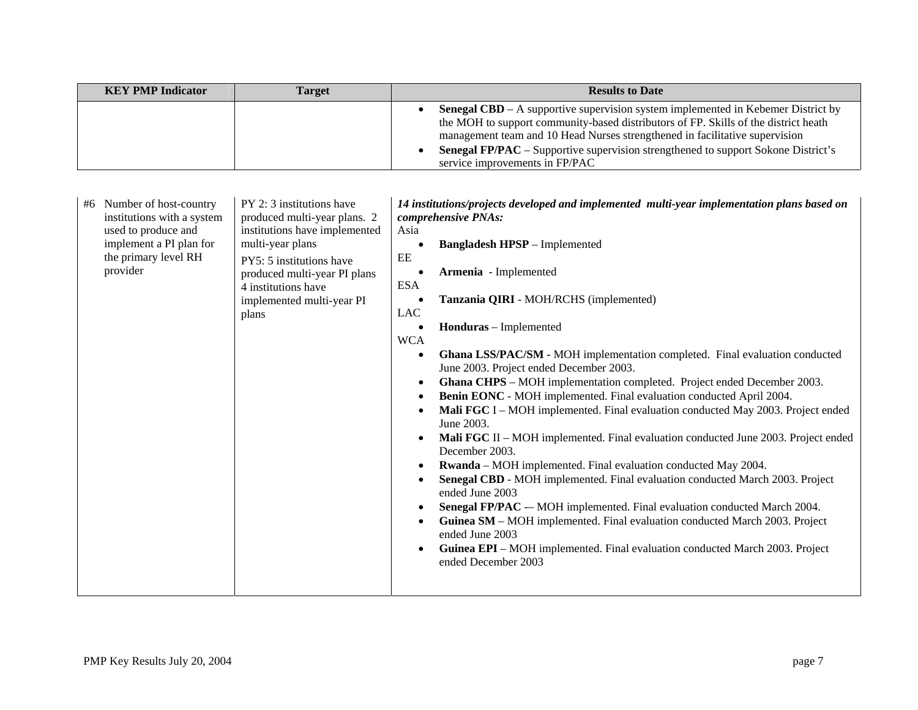| <b>KEY PMP Indicator</b> | Target | <b>Results to Date</b>                                                                                                                                                                                                                                                                                                                                                                      |  |
|--------------------------|--------|---------------------------------------------------------------------------------------------------------------------------------------------------------------------------------------------------------------------------------------------------------------------------------------------------------------------------------------------------------------------------------------------|--|
|                          |        | <b>Senegal CBD</b> – A supportive supervision system implemented in Kebemer District by<br>the MOH to support community-based distributors of FP. Skills of the district heath<br>management team and 10 Head Nurses strengthened in facilitative supervision<br><b>Senegal FP/PAC</b> – Supportive supervision strengthened to support Sokone District's<br>service improvements in FP/PAC |  |

| the primary level RH<br>EE<br>PY5: 5 institutions have<br>provider<br>Armenia - Implemented<br>produced multi-year PI plans<br><b>ESA</b><br>4 institutions have<br>Tanzania QIRI - MOH/RCHS (implemented)<br>implemented multi-year PI<br><b>LAC</b><br>plans<br>Honduras - Implemented<br><b>WCA</b><br>Ghana LSS/PAC/SM - MOH implementation completed. Final evaluation conducted<br>June 2003. Project ended December 2003.<br>Ghana CHPS - MOH implementation completed. Project ended December 2003.<br>٠<br>Benin EONC - MOH implemented. Final evaluation conducted April 2004.<br>Mali FGC I – MOH implemented. Final evaluation conducted May 2003. Project ended<br>June 2003.<br>Mali FGC II – MOH implemented. Final evaluation conducted June 2003. Project ended<br>December 2003.<br><b>Rwanda</b> – MOH implemented. Final evaluation conducted May 2004.<br>Senegal CBD - MOH implemented. Final evaluation conducted March 2003. Project<br>ended June 2003<br>Senegal FP/PAC - MOH implemented. Final evaluation conducted March 2004.<br>Guinea SM - MOH implemented. Final evaluation conducted March 2003. Project<br>٠<br>ended June 2003<br>Guinea EPI - MOH implemented. Final evaluation conducted March 2003. Project<br>ended December 2003 | Number of host-country<br>#6<br>institutions with a system<br>used to produce and<br>implement a PI plan for | PY 2: 3 institutions have<br>produced multi-year plans. 2<br>institutions have implemented<br>multi-year plans | 14 institutions/projects developed and implemented multi-year implementation plans based on<br>comprehensive PNAs:<br>Asia<br><b>Bangladesh HPSP</b> – Implemented |
|---------------------------------------------------------------------------------------------------------------------------------------------------------------------------------------------------------------------------------------------------------------------------------------------------------------------------------------------------------------------------------------------------------------------------------------------------------------------------------------------------------------------------------------------------------------------------------------------------------------------------------------------------------------------------------------------------------------------------------------------------------------------------------------------------------------------------------------------------------------------------------------------------------------------------------------------------------------------------------------------------------------------------------------------------------------------------------------------------------------------------------------------------------------------------------------------------------------------------------------------------------------------------|--------------------------------------------------------------------------------------------------------------|----------------------------------------------------------------------------------------------------------------|--------------------------------------------------------------------------------------------------------------------------------------------------------------------|
|---------------------------------------------------------------------------------------------------------------------------------------------------------------------------------------------------------------------------------------------------------------------------------------------------------------------------------------------------------------------------------------------------------------------------------------------------------------------------------------------------------------------------------------------------------------------------------------------------------------------------------------------------------------------------------------------------------------------------------------------------------------------------------------------------------------------------------------------------------------------------------------------------------------------------------------------------------------------------------------------------------------------------------------------------------------------------------------------------------------------------------------------------------------------------------------------------------------------------------------------------------------------------|--------------------------------------------------------------------------------------------------------------|----------------------------------------------------------------------------------------------------------------|--------------------------------------------------------------------------------------------------------------------------------------------------------------------|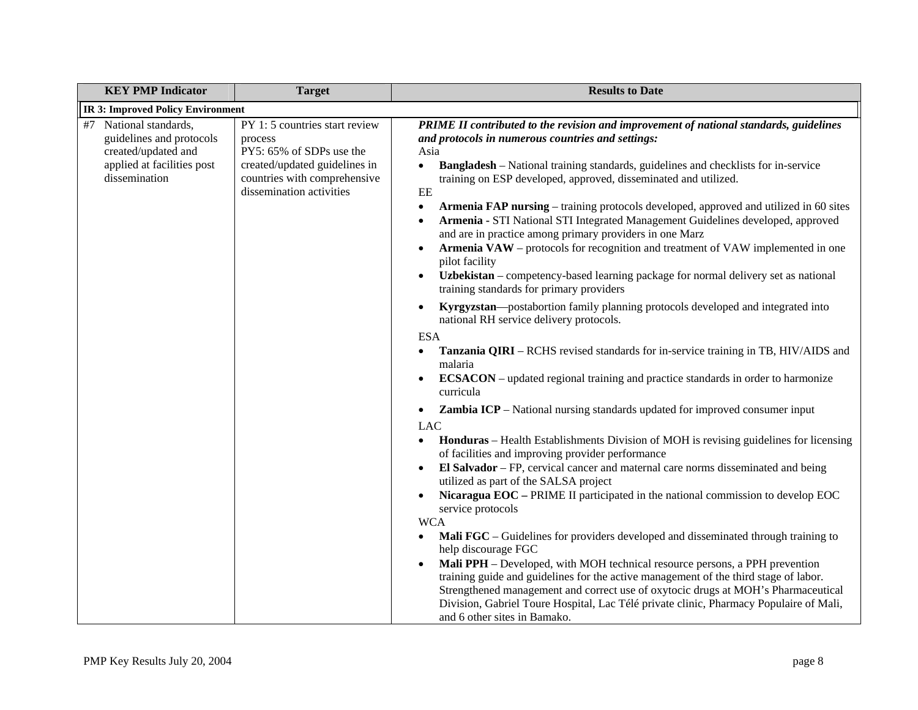| <b>KEY PMP Indicator</b>                                                                                                 | <b>Target</b>                                                                                                                                                      | <b>Results to Date</b>                                                                                                                                                                                                                                                                                                                                                                                                                                                                                                                                                                                                                                                                                                                                                                                                                                                                                                                                                                                                                                                                                                                                                                                                                                                                                                                                                                                                                                                                                                                                                                                                                                                                                                                                                                                                                                                                                                                                                                                                                                                                                                                                                                                                                                                                                                                                     |  |  |
|--------------------------------------------------------------------------------------------------------------------------|--------------------------------------------------------------------------------------------------------------------------------------------------------------------|------------------------------------------------------------------------------------------------------------------------------------------------------------------------------------------------------------------------------------------------------------------------------------------------------------------------------------------------------------------------------------------------------------------------------------------------------------------------------------------------------------------------------------------------------------------------------------------------------------------------------------------------------------------------------------------------------------------------------------------------------------------------------------------------------------------------------------------------------------------------------------------------------------------------------------------------------------------------------------------------------------------------------------------------------------------------------------------------------------------------------------------------------------------------------------------------------------------------------------------------------------------------------------------------------------------------------------------------------------------------------------------------------------------------------------------------------------------------------------------------------------------------------------------------------------------------------------------------------------------------------------------------------------------------------------------------------------------------------------------------------------------------------------------------------------------------------------------------------------------------------------------------------------------------------------------------------------------------------------------------------------------------------------------------------------------------------------------------------------------------------------------------------------------------------------------------------------------------------------------------------------------------------------------------------------------------------------------------------------|--|--|
| <b>IR 3: Improved Policy Environment</b>                                                                                 |                                                                                                                                                                    |                                                                                                                                                                                                                                                                                                                                                                                                                                                                                                                                                                                                                                                                                                                                                                                                                                                                                                                                                                                                                                                                                                                                                                                                                                                                                                                                                                                                                                                                                                                                                                                                                                                                                                                                                                                                                                                                                                                                                                                                                                                                                                                                                                                                                                                                                                                                                            |  |  |
| #7 National standards,<br>guidelines and protocols<br>created/updated and<br>applied at facilities post<br>dissemination | PY 1: 5 countries start review<br>process<br>PY5: 65% of SDPs use the<br>created/updated guidelines in<br>countries with comprehensive<br>dissemination activities | PRIME II contributed to the revision and improvement of national standards, guidelines<br>and protocols in numerous countries and settings:<br>Asia<br><b>Bangladesh</b> – National training standards, guidelines and checklists for in-service<br>$\bullet$<br>training on ESP developed, approved, disseminated and utilized.<br>EE<br><b>Armenia FAP nursing</b> – training protocols developed, approved and utilized in 60 sites<br>$\bullet$<br>Armenia - STI National STI Integrated Management Guidelines developed, approved<br>$\bullet$<br>and are in practice among primary providers in one Marz<br>Armenia VAW - protocols for recognition and treatment of VAW implemented in one<br>$\bullet$<br>pilot facility<br>Uzbekistan – competency-based learning package for normal delivery set as national<br>training standards for primary providers<br>Kyrgyzstan—postabortion family planning protocols developed and integrated into<br>$\bullet$<br>national RH service delivery protocols.<br><b>ESA</b><br><b>Tanzania QIRI</b> – RCHS revised standards for in-service training in TB, HIV/AIDS and<br>$\bullet$<br>malaria<br><b>ECSACON</b> – updated regional training and practice standards in order to harmonize<br>$\bullet$<br>curricula<br><b>Zambia ICP</b> – National nursing standards updated for improved consumer input<br>$\bullet$<br>LAC<br><b>Honduras</b> – Health Establishments Division of MOH is revising guidelines for licensing<br>$\bullet$<br>of facilities and improving provider performance<br>El Salvador - FP, cervical cancer and maternal care norms disseminated and being<br>$\bullet$<br>utilized as part of the SALSA project<br>Nicaragua EOC - PRIME II participated in the national commission to develop EOC<br>$\bullet$<br>service protocols<br><b>WCA</b><br>Mali FGC – Guidelines for providers developed and disseminated through training to<br>$\bullet$<br>help discourage FGC<br>Mali PPH - Developed, with MOH technical resource persons, a PPH prevention<br>$\bullet$<br>training guide and guidelines for the active management of the third stage of labor.<br>Strengthened management and correct use of oxytocic drugs at MOH's Pharmaceutical<br>Division, Gabriel Toure Hospital, Lac Télé private clinic, Pharmacy Populaire of Mali,<br>and 6 other sites in Bamako. |  |  |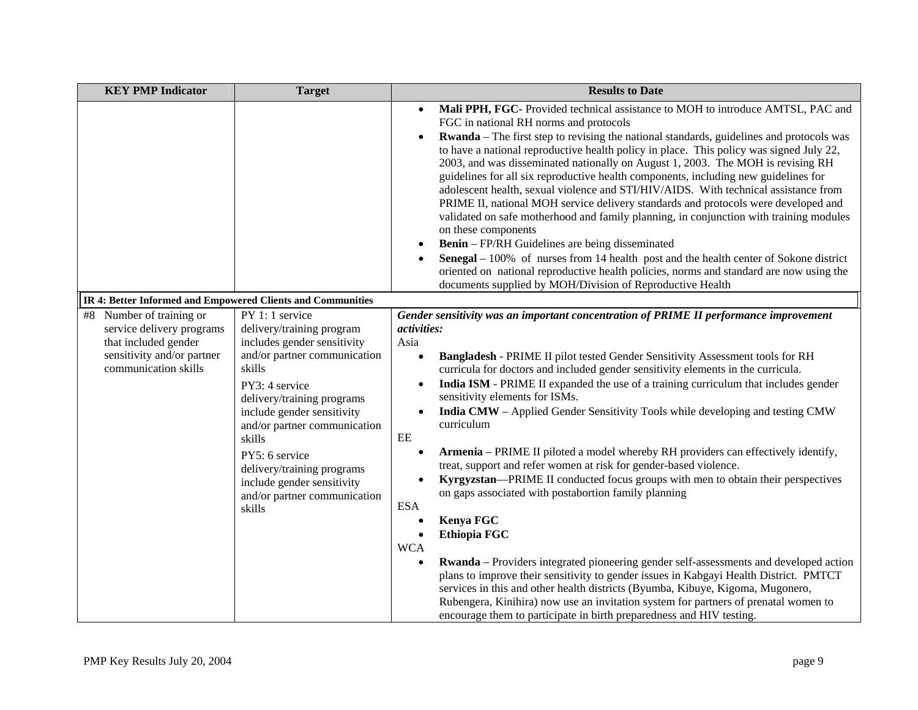| <b>KEY PMP Indicator</b>                                                                                                            | <b>Target</b>                                                                                                                                                                                                                                                                                                                                                         | <b>Results to Date</b>                                                                                                                                                                                                                                                                                                                                                                                                                                                                                                                                                                                                                                                                                                                                                                                                                                                                                                                                                                                                                                                                                                                                                                                                                                                                                                                                   |  |  |
|-------------------------------------------------------------------------------------------------------------------------------------|-----------------------------------------------------------------------------------------------------------------------------------------------------------------------------------------------------------------------------------------------------------------------------------------------------------------------------------------------------------------------|----------------------------------------------------------------------------------------------------------------------------------------------------------------------------------------------------------------------------------------------------------------------------------------------------------------------------------------------------------------------------------------------------------------------------------------------------------------------------------------------------------------------------------------------------------------------------------------------------------------------------------------------------------------------------------------------------------------------------------------------------------------------------------------------------------------------------------------------------------------------------------------------------------------------------------------------------------------------------------------------------------------------------------------------------------------------------------------------------------------------------------------------------------------------------------------------------------------------------------------------------------------------------------------------------------------------------------------------------------|--|--|
|                                                                                                                                     |                                                                                                                                                                                                                                                                                                                                                                       | Mali PPH, FGC-Provided technical assistance to MOH to introduce AMTSL, PAC and<br>FGC in national RH norms and protocols<br>Rwanda - The first step to revising the national standards, guidelines and protocols was<br>$\bullet$<br>to have a national reproductive health policy in place. This policy was signed July 22,<br>2003, and was disseminated nationally on August 1, 2003. The MOH is revising RH<br>guidelines for all six reproductive health components, including new guidelines for<br>adolescent health, sexual violence and STI/HIV/AIDS. With technical assistance from<br>PRIME II, national MOH service delivery standards and protocols were developed and<br>validated on safe motherhood and family planning, in conjunction with training modules<br>on these components<br><b>Benin</b> – FP/RH Guidelines are being disseminated<br><b>Senegal</b> $-100\%$ of nurses from 14 health post and the health center of Sokone district<br>oriented on national reproductive health policies, norms and standard are now using the<br>documents supplied by MOH/Division of Reproductive Health                                                                                                                                                                                                                                 |  |  |
| IR 4: Better Informed and Empowered Clients and Communities                                                                         |                                                                                                                                                                                                                                                                                                                                                                       |                                                                                                                                                                                                                                                                                                                                                                                                                                                                                                                                                                                                                                                                                                                                                                                                                                                                                                                                                                                                                                                                                                                                                                                                                                                                                                                                                          |  |  |
| #8 Number of training or<br>service delivery programs<br>that included gender<br>sensitivity and/or partner<br>communication skills | PY 1: 1 service<br>delivery/training program<br>includes gender sensitivity<br>and/or partner communication<br>skills<br>PY3: 4 service<br>delivery/training programs<br>include gender sensitivity<br>and/or partner communication<br>skills<br>PY5: 6 service<br>delivery/training programs<br>include gender sensitivity<br>and/or partner communication<br>skills | Gender sensitivity was an important concentration of PRIME II performance improvement<br><i>activities:</i><br>Asia<br>Bangladesh - PRIME II pilot tested Gender Sensitivity Assessment tools for RH<br>curricula for doctors and included gender sensitivity elements in the curricula.<br>India ISM - PRIME II expanded the use of a training curriculum that includes gender<br>sensitivity elements for ISMs.<br>India CMW - Applied Gender Sensitivity Tools while developing and testing CMW<br>$\bullet$<br>curriculum<br>$\rm EE$<br>Armenia - PRIME II piloted a model whereby RH providers can effectively identify,<br>treat, support and refer women at risk for gender-based violence.<br>Kyrgyzstan—PRIME II conducted focus groups with men to obtain their perspectives<br>on gaps associated with postabortion family planning<br><b>ESA</b><br>Kenya FGC<br>Ethiopia FGC<br><b>WCA</b><br>Rwanda - Providers integrated pioneering gender self-assessments and developed action<br>$\bullet$<br>plans to improve their sensitivity to gender issues in Kabgayi Health District. PMTCT<br>services in this and other health districts (Byumba, Kibuye, Kigoma, Mugonero,<br>Rubengera, Kinihira) now use an invitation system for partners of prenatal women to<br>encourage them to participate in birth preparedness and HIV testing. |  |  |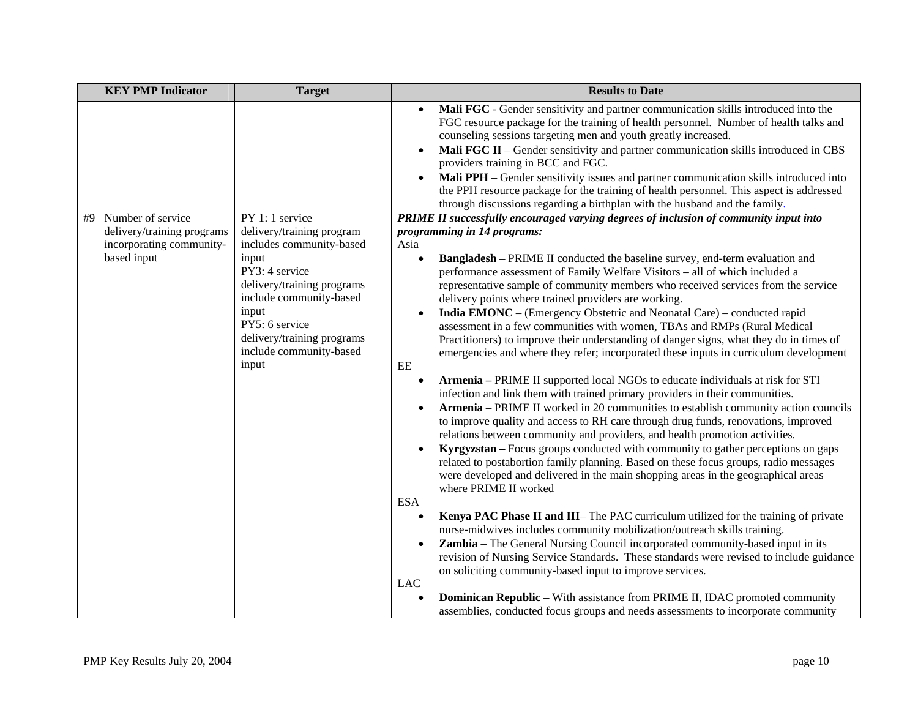|    | <b>KEY PMP Indicator</b>                               | <b>Target</b>                                                                                                                                                                 | <b>Results to Date</b>                                                                                                                                                                                                                                                                                                                                                                                                                                                                                                                                                                                                                                                                                                                                                                                                                                                                                                                                                                                                                                                                                                                                                                                                                                                                                                                                                                                                                                                                                                                                                                                                                                                                                                                                                                                                                                                 |  |
|----|--------------------------------------------------------|-------------------------------------------------------------------------------------------------------------------------------------------------------------------------------|------------------------------------------------------------------------------------------------------------------------------------------------------------------------------------------------------------------------------------------------------------------------------------------------------------------------------------------------------------------------------------------------------------------------------------------------------------------------------------------------------------------------------------------------------------------------------------------------------------------------------------------------------------------------------------------------------------------------------------------------------------------------------------------------------------------------------------------------------------------------------------------------------------------------------------------------------------------------------------------------------------------------------------------------------------------------------------------------------------------------------------------------------------------------------------------------------------------------------------------------------------------------------------------------------------------------------------------------------------------------------------------------------------------------------------------------------------------------------------------------------------------------------------------------------------------------------------------------------------------------------------------------------------------------------------------------------------------------------------------------------------------------------------------------------------------------------------------------------------------------|--|
|    |                                                        |                                                                                                                                                                               | Mali FGC - Gender sensitivity and partner communication skills introduced into the<br>FGC resource package for the training of health personnel. Number of health talks and<br>counseling sessions targeting men and youth greatly increased.<br>Mali FGC II - Gender sensitivity and partner communication skills introduced in CBS<br>$\bullet$<br>providers training in BCC and FGC.<br>Mali PPH - Gender sensitivity issues and partner communication skills introduced into<br>$\bullet$<br>the PPH resource package for the training of health personnel. This aspect is addressed<br>through discussions regarding a birthplan with the husband and the family.                                                                                                                                                                                                                                                                                                                                                                                                                                                                                                                                                                                                                                                                                                                                                                                                                                                                                                                                                                                                                                                                                                                                                                                                 |  |
| #9 | Number of service                                      | PY 1: 1 service                                                                                                                                                               | PRIME II successfully encouraged varying degrees of inclusion of community input into                                                                                                                                                                                                                                                                                                                                                                                                                                                                                                                                                                                                                                                                                                                                                                                                                                                                                                                                                                                                                                                                                                                                                                                                                                                                                                                                                                                                                                                                                                                                                                                                                                                                                                                                                                                  |  |
|    | delivery/training programs<br>incorporating community- | delivery/training program<br>includes community-based                                                                                                                         | programming in 14 programs:<br>Asia                                                                                                                                                                                                                                                                                                                                                                                                                                                                                                                                                                                                                                                                                                                                                                                                                                                                                                                                                                                                                                                                                                                                                                                                                                                                                                                                                                                                                                                                                                                                                                                                                                                                                                                                                                                                                                    |  |
|    | based input                                            | input<br>PY3: 4 service<br>delivery/training programs<br>include community-based<br>input<br>PY5: 6 service<br>delivery/training programs<br>include community-based<br>input | <b>Bangladesh</b> – PRIME II conducted the baseline survey, end-term evaluation and<br>performance assessment of Family Welfare Visitors - all of which included a<br>representative sample of community members who received services from the service<br>delivery points where trained providers are working.<br>India EMONC - (Emergency Obstetric and Neonatal Care) - conducted rapid<br>$\bullet$<br>assessment in a few communities with women, TBAs and RMPs (Rural Medical<br>Practitioners) to improve their understanding of danger signs, what they do in times of<br>emergencies and where they refer; incorporated these inputs in curriculum development<br>EE<br>Armenia - PRIME II supported local NGOs to educate individuals at risk for STI<br>$\bullet$<br>infection and link them with trained primary providers in their communities.<br>Armenia - PRIME II worked in 20 communities to establish community action councils<br>to improve quality and access to RH care through drug funds, renovations, improved<br>relations between community and providers, and health promotion activities.<br>Kyrgyzstan – Focus groups conducted with community to gather perceptions on gaps<br>related to postabortion family planning. Based on these focus groups, radio messages<br>were developed and delivered in the main shopping areas in the geographical areas<br>where PRIME II worked<br><b>ESA</b><br>Kenya PAC Phase II and III- The PAC curriculum utilized for the training of private<br>$\bullet$<br>nurse-midwives includes community mobilization/outreach skills training.<br>Zambia – The General Nursing Council incorporated community-based input in its<br>revision of Nursing Service Standards. These standards were revised to include guidance<br>on soliciting community-based input to improve services.<br><b>LAC</b> |  |
|    |                                                        |                                                                                                                                                                               | <b>Dominican Republic</b> – With assistance from PRIME II, IDAC promoted community<br>assemblies, conducted focus groups and needs assessments to incorporate community                                                                                                                                                                                                                                                                                                                                                                                                                                                                                                                                                                                                                                                                                                                                                                                                                                                                                                                                                                                                                                                                                                                                                                                                                                                                                                                                                                                                                                                                                                                                                                                                                                                                                                |  |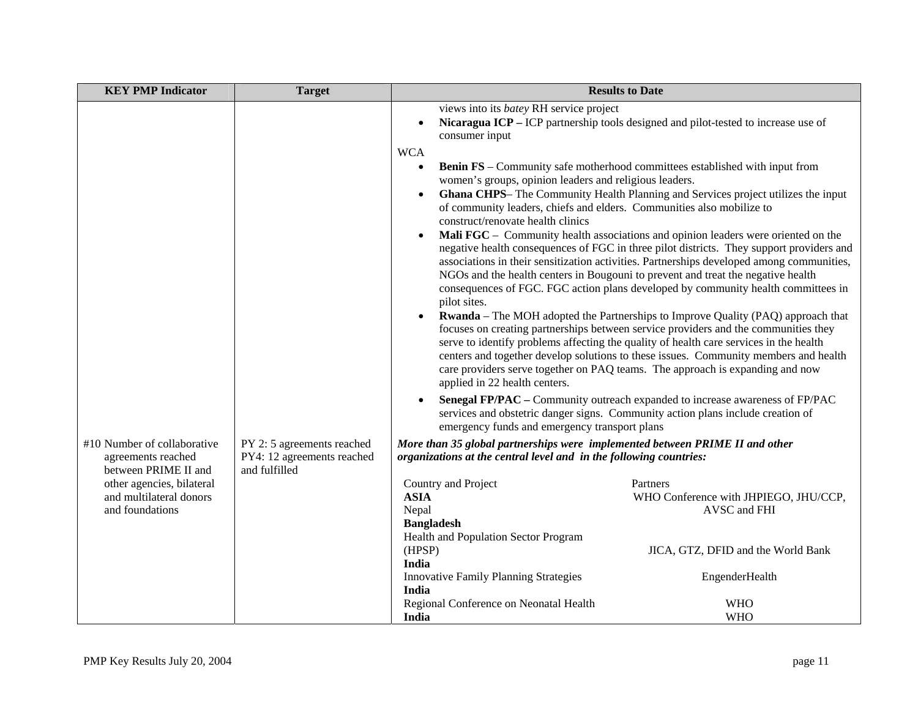| <b>KEY PMP Indicator</b>                                                  | <b>Target</b>                                                             | <b>Results to Date</b>                                                                                                                                                                                                                                                                                              |                                                                                                                                                                                                                                                                                                                                                                                                                                                                                                                                                                                                                                                                                                                      |
|---------------------------------------------------------------------------|---------------------------------------------------------------------------|---------------------------------------------------------------------------------------------------------------------------------------------------------------------------------------------------------------------------------------------------------------------------------------------------------------------|----------------------------------------------------------------------------------------------------------------------------------------------------------------------------------------------------------------------------------------------------------------------------------------------------------------------------------------------------------------------------------------------------------------------------------------------------------------------------------------------------------------------------------------------------------------------------------------------------------------------------------------------------------------------------------------------------------------------|
|                                                                           |                                                                           | views into its batey RH service project<br>$\bullet$<br>consumer input<br><b>WCA</b><br>$\bullet$<br>women's groups, opinion leaders and religious leaders.<br>$\bullet$<br>of community leaders, chiefs and elders. Communities also mobilize to<br>construct/renovate health clinics<br>$\bullet$<br>pilot sites. | Nicaragua ICP – ICP partnership tools designed and pilot-tested to increase use of<br><b>Benin FS</b> – Community safe motherhood committees established with input from<br>Ghana CHPS- The Community Health Planning and Services project utilizes the input<br>Mali FGC - Community health associations and opinion leaders were oriented on the<br>negative health consequences of FGC in three pilot districts. They support providers and<br>associations in their sensitization activities. Partnerships developed among communities,<br>NGOs and the health centers in Bougouni to prevent and treat the negative health<br>consequences of FGC. FGC action plans developed by community health committees in |
|                                                                           |                                                                           | applied in 22 health centers.                                                                                                                                                                                                                                                                                       | <b>Rwanda</b> – The MOH adopted the Partnerships to Improve Quality (PAQ) approach that<br>focuses on creating partnerships between service providers and the communities they<br>serve to identify problems affecting the quality of health care services in the health<br>centers and together develop solutions to these issues. Community members and health<br>care providers serve together on PAQ teams. The approach is expanding and now                                                                                                                                                                                                                                                                    |
|                                                                           |                                                                           | $\bullet$<br>emergency funds and emergency transport plans                                                                                                                                                                                                                                                          | Senegal FP/PAC – Community outreach expanded to increase awareness of FP/PAC<br>services and obstetric danger signs. Community action plans include creation of                                                                                                                                                                                                                                                                                                                                                                                                                                                                                                                                                      |
| #10 Number of collaborative<br>agreements reached<br>between PRIME II and | PY 2: 5 agreements reached<br>PY4: 12 agreements reached<br>and fulfilled | More than 35 global partnerships were implemented between PRIME II and other<br>organizations at the central level and in the following countries:                                                                                                                                                                  |                                                                                                                                                                                                                                                                                                                                                                                                                                                                                                                                                                                                                                                                                                                      |
| other agencies, bilateral<br>and multilateral donors<br>and foundations   |                                                                           | Country and Project<br><b>ASIA</b><br>Nepal<br><b>Bangladesh</b><br>Health and Population Sector Program                                                                                                                                                                                                            | Partners<br>WHO Conference with JHPIEGO, JHU/CCP,<br>AVSC and FHI                                                                                                                                                                                                                                                                                                                                                                                                                                                                                                                                                                                                                                                    |
|                                                                           |                                                                           | (HPSP)<br>India                                                                                                                                                                                                                                                                                                     | JICA, GTZ, DFID and the World Bank                                                                                                                                                                                                                                                                                                                                                                                                                                                                                                                                                                                                                                                                                   |
|                                                                           |                                                                           | <b>Innovative Family Planning Strategies</b><br><b>India</b>                                                                                                                                                                                                                                                        | EngenderHealth                                                                                                                                                                                                                                                                                                                                                                                                                                                                                                                                                                                                                                                                                                       |
|                                                                           |                                                                           | Regional Conference on Neonatal Health<br>India                                                                                                                                                                                                                                                                     | <b>WHO</b><br><b>WHO</b>                                                                                                                                                                                                                                                                                                                                                                                                                                                                                                                                                                                                                                                                                             |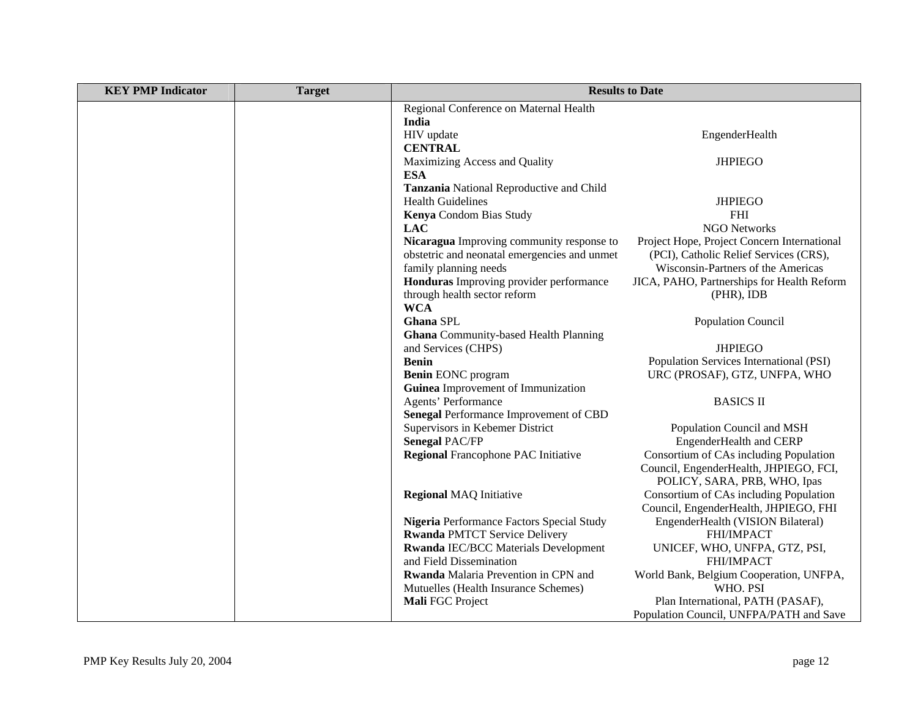| <b>KEY PMP Indicator</b> | <b>Target</b> | <b>Results to Date</b>                       |                                                           |
|--------------------------|---------------|----------------------------------------------|-----------------------------------------------------------|
|                          |               | Regional Conference on Maternal Health       |                                                           |
|                          |               | India                                        |                                                           |
|                          |               | HIV update                                   | EngenderHealth                                            |
|                          |               | <b>CENTRAL</b>                               |                                                           |
|                          |               | Maximizing Access and Quality                | <b>JHPIEGO</b>                                            |
|                          |               | <b>ESA</b>                                   |                                                           |
|                          |               | Tanzania National Reproductive and Child     |                                                           |
|                          |               | <b>Health Guidelines</b>                     | <b>JHPIEGO</b>                                            |
|                          |               | Kenya Condom Bias Study                      | <b>FHI</b>                                                |
|                          |               | <b>LAC</b>                                   | <b>NGO Networks</b>                                       |
|                          |               | Nicaragua Improving community response to    | Project Hope, Project Concern International               |
|                          |               | obstetric and neonatal emergencies and unmet | (PCI), Catholic Relief Services (CRS),                    |
|                          |               | family planning needs                        | Wisconsin-Partners of the Americas                        |
|                          |               | Honduras Improving provider performance      | JICA, PAHO, Partnerships for Health Reform                |
|                          |               | through health sector reform                 | $(PHR)$ , IDB                                             |
|                          |               | <b>WCA</b>                                   |                                                           |
|                          |               | Ghana SPL                                    | <b>Population Council</b>                                 |
|                          |               | <b>Ghana</b> Community-based Health Planning |                                                           |
|                          |               | and Services (CHPS)<br><b>Benin</b>          | <b>JHPIEGO</b><br>Population Services International (PSI) |
|                          |               | <b>Benin EONC</b> program                    | URC (PROSAF), GTZ, UNFPA, WHO                             |
|                          |               | Guinea Improvement of Immunization           |                                                           |
|                          |               | Agents' Performance                          | <b>BASICS II</b>                                          |
|                          |               | Senegal Performance Improvement of CBD       |                                                           |
|                          |               | Supervisors in Kebemer District              | Population Council and MSH                                |
|                          |               | <b>Senegal PAC/FP</b>                        | EngenderHealth and CERP                                   |
|                          |               | <b>Regional Francophone PAC Initiative</b>   | Consortium of CAs including Population                    |
|                          |               |                                              | Council, EngenderHealth, JHPIEGO, FCI,                    |
|                          |               |                                              | POLICY, SARA, PRB, WHO, Ipas                              |
|                          |               | <b>Regional MAQ Initiative</b>               | Consortium of CAs including Population                    |
|                          |               |                                              | Council, EngenderHealth, JHPIEGO, FHI                     |
|                          |               | Nigeria Performance Factors Special Study    | EngenderHealth (VISION Bilateral)                         |
|                          |               | <b>Rwanda PMTCT Service Delivery</b>         | FHI/IMPACT                                                |
|                          |               | <b>Rwanda IEC/BCC Materials Development</b>  | UNICEF, WHO, UNFPA, GTZ, PSI,                             |
|                          |               | and Field Dissemination                      | FHI/IMPACT                                                |
|                          |               | Rwanda Malaria Prevention in CPN and         | World Bank, Belgium Cooperation, UNFPA,                   |
|                          |               | Mutuelles (Health Insurance Schemes)         | WHO. PSI                                                  |
|                          |               | Mali FGC Project                             | Plan International, PATH (PASAF),                         |
|                          |               |                                              | Population Council, UNFPA/PATH and Save                   |